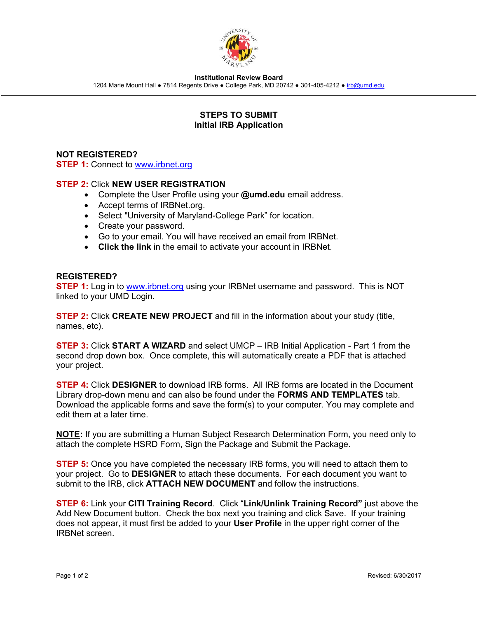

**Institutional Review Board** 

1204 Marie Mount Hall . 7814 Regents Drive . College Park, MD 20742 . 301-405-4212 . irb@umd.edu

## **STEPS TO SUBMIT Initial IRB Application**

## **NOT REGISTERED?**

**STEP 1: Connect to www.irbnet.org** 

## **STEP 2:** Click **NEW USER REGISTRATION**

- Complete the User Profile using your **@umd.edu** email address.
- Accept terms of IRBNet.org.
- Select "University of Maryland-College Park" for location.
- Create your password.
- Go to your email. You will have received an email from IRBNet.
- **Click the link** in the email to activate your account in IRBNet.

## **REGISTERED?**

**STEP 1:** Log in to www.irbnet.org using your IRBNet username and password. This is NOT linked to your UMD Login.

**STEP 2:** Click **CREATE NEW PROJECT** and fill in the information about your study (title, names, etc).

**STEP 3:** Click **START A WIZARD** and select UMCP – IRB Initial Application - Part 1 from the second drop down box. Once complete, this will automatically create a PDF that is attached your project.

**STEP 4:** Click **DESIGNER** to download IRB forms. All IRB forms are located in the Document Library drop-down menu and can also be found under the **FORMS AND TEMPLATES** tab. Download the applicable forms and save the form(s) to your computer. You may complete and edit them at a later time.

**NOTE:** If you are submitting a Human Subject Research Determination Form, you need only to attach the complete HSRD Form, Sign the Package and Submit the Package.

**STEP 5:** Once you have completed the necessary IRB forms, you will need to attach them to your project. Go to **DESIGNER** to attach these documents. For each document you want to submit to the IRB, click **ATTACH NEW DOCUMENT** and follow the instructions.

**STEP 6:** Link your **CITI Training Record**. Click "**Link/Unlink Training Record"** just above the Add New Document button. Check the box next you training and click Save. If your training does not appear, it must first be added to your **User Profile** in the upper right corner of the IRBNet screen.